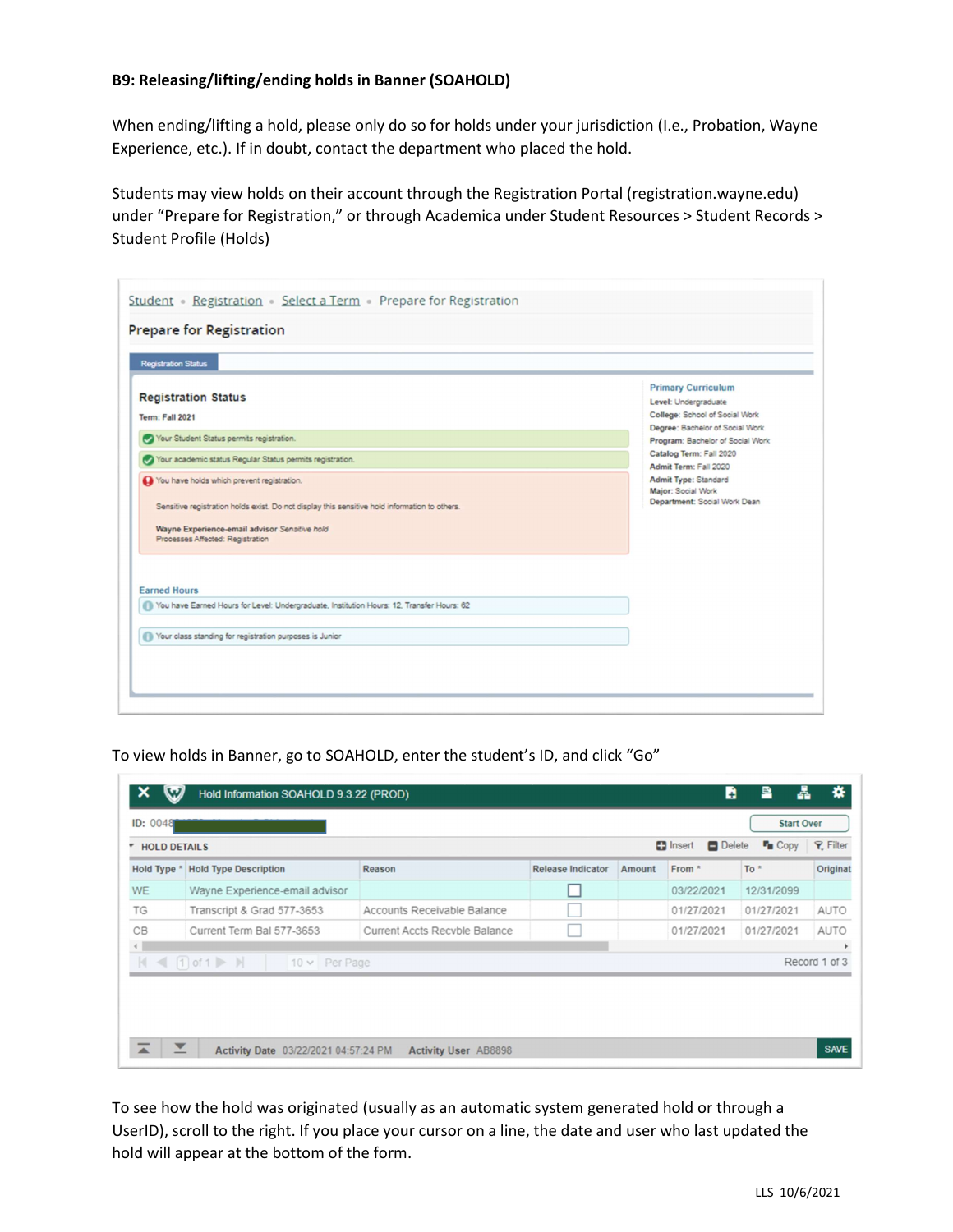## B9: Releasing/lifting/ending holds in Banner (SOAHOLD)

When ending/lifting a hold, please only do so for holds under your jurisdiction (I.e., Probation, Wayne Experience, etc.). If in doubt, contact the department who placed the hold.

Students may view holds on their account through the Registration Portal (registration.wayne.edu) under "Prepare for Registration," or through Academica under Student Resources > Student Records > Student Profile (Holds)

| <b>Prepare for Registration</b>                                                                                                                                                                                                  |                                                                                     |  |  |  |  |  |  |
|----------------------------------------------------------------------------------------------------------------------------------------------------------------------------------------------------------------------------------|-------------------------------------------------------------------------------------|--|--|--|--|--|--|
| <b>Registration Status</b>                                                                                                                                                                                                       |                                                                                     |  |  |  |  |  |  |
| <b>Registration Status</b><br><b>Term: Fall 2021</b>                                                                                                                                                                             | <b>Primary Curriculum</b><br>Level: Undergraduate<br>College: School of Social Work |  |  |  |  |  |  |
| Your Student Status permits registration.                                                                                                                                                                                        | Degree: Bachelor of Social Work<br>Program: Bachelor of Social Work                 |  |  |  |  |  |  |
| Your academic status Regular Status permits registration.                                                                                                                                                                        | Catalog Term: Fall 2020<br>Admit Term: Fall 2020                                    |  |  |  |  |  |  |
| You have holds which prevent registration.<br>Sensitive registration holds exist. Do not display this sensitive hold information to others.<br>Wayne Experience-email advisor Sensitive hold<br>Processes Affected: Registration | Admit Type: Standard<br>Major: Social Work<br>Department: Social Work Dean          |  |  |  |  |  |  |
| <b>Earned Hours</b><br>You have Earned Hours for Level: Undergraduate, Institution Hours: 12, Transfer Hours: 62                                                                                                                 |                                                                                     |  |  |  |  |  |  |
| Your class standing for registration purposes is Junior                                                                                                                                                                          |                                                                                     |  |  |  |  |  |  |

To view holds in Banner, go to SOAHOLD, enter the student's ID, and click "Go"

| <b>ID: 0048</b><br><b>HOLD DETAILS</b><br>٠ |                                                                   |                               |                          |        | $\Box$ Insert<br>Delete | <b>Start Over</b><br><b>F</b> <sub>E</sub> Copy | <b>Y</b> Filter |
|---------------------------------------------|-------------------------------------------------------------------|-------------------------------|--------------------------|--------|-------------------------|-------------------------------------------------|-----------------|
| Hold Type *                                 | <b>Hold Type Description</b>                                      | Reason                        | <b>Release Indicator</b> | Amount | From *                  | $To *$                                          | Originat        |
| <b>WE</b>                                   | Wayne Experience-email advisor                                    |                               |                          |        | 03/22/2021              | 12/31/2099                                      |                 |
| TG                                          | Transcript & Grad 577-3653                                        | Accounts Receivable Balance   |                          |        | 01/27/2021              | 01/27/2021                                      | AUTO            |
| CB                                          | Current Term Bal 577-3653                                         | Current Accts Recyble Balance |                          |        | 01/27/2021              | 01/27/2021                                      | <b>AUTO</b>     |
| $\leftarrow$<br>$\mathbb{N}$                | $\leftarrow$ 1 of 1 $\triangleright$ $\parallel$<br>10 v Per Page |                               |                          |        |                         |                                                 | Record 1 of 3   |

To see how the hold was originated (usually as an automatic system generated hold or through a UserID), scroll to the right. If you place your cursor on a line, the date and user who last updated the hold will appear at the bottom of the form.